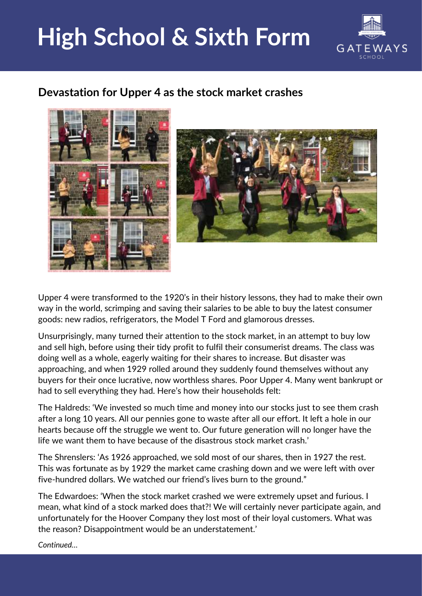## **High School & Sixth Form**



## **Devastation for Upper 4 as the stock market crashes**





Upper 4 were transformed to the 1920's in their history lessons, they had to make their own way in the world, scrimping and saving their salaries to be able to buy the latest consumer goods: new radios, refrigerators, the Model T Ford and glamorous dresses.

Unsurprisingly, many turned their attention to the stock market, in an attempt to buy low and sell high, before using their tidy profit to fulfil their consumerist dreams. The class was doing well as a whole, eagerly waiting for their shares to increase. But disaster was approaching, and when 1929 rolled around they suddenly found themselves without any buyers for their once lucrative, now worthless shares. Poor Upper 4. Many went bankrupt or had to sell everything they had. Here's how their households felt:

The Haldreds: 'We invested so much time and money into our stocks just to see them crash after a long 10 years. All our pennies gone to waste after all our effort. It left a hole in our hearts because off the struggle we went to. Our future generation will no longer have the life we want them to have because of the disastrous stock market crash.'

The Shrenslers: 'As 1926 approached, we sold most of our shares, then in 1927 the rest. This was fortunate as by 1929 the market came crashing down and we were left with over five-hundred dollars. We watched our friend's lives burn to the ground."

The Edwardoes: 'When the stock market crashed we were extremely upset and furious. I mean, what kind of a stock marked does that?! We will certainly never participate again, and unfortunately for the Hoover Company they lost most of their loyal customers. What was the reason? Disappointment would be an understatement.'

*Continued…*